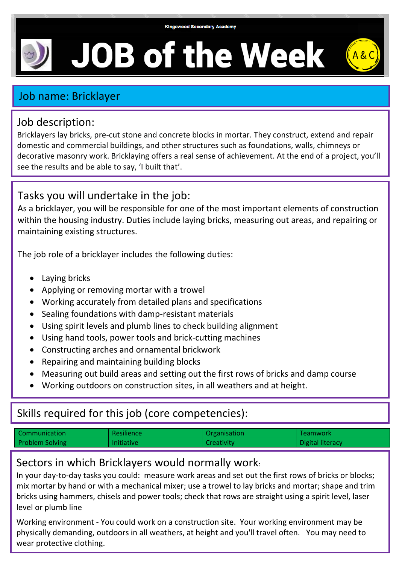# **JOB of the Week**



## Job name: Bricklayer

#### Job description:

Bricklayers lay bricks, pre-cut stone and concrete blocks in mortar. They construct, extend and repair domestic and commercial buildings, and other structures such as foundations, walls, chimneys or decorative masonry work. Bricklaying offers a real sense of achievement. At the end of a project, you'll see the results and be able to say, 'I built that'.

## Tasks you will undertake in the job:

As a bricklayer, you will be responsible for one of the most important elements of construction within the housing industry. Duties include laying bricks, measuring out areas, and repairing or maintaining existing structures.

The job role of a bricklayer includes the following duties:

- Laying bricks
- Applying or removing mortar with a trowel
- Working accurately from detailed plans and specifications
- Sealing foundations with damp-resistant materials
- Using spirit levels and plumb lines to check building alignment
- Using hand tools, power tools and brick-cutting machines
- Constructing arches and ornamental brickwork
- Repairing and maintaining building blocks
- Measuring out build areas and setting out the first rows of bricks and damp course
- Working outdoors on construction sites, in all weathers and at height.

# Skills required for this job (core competencies):

| Communication          | <b>Resilience</b> | Organisation      | <b>Teamwork</b>  |
|------------------------|-------------------|-------------------|------------------|
| <b>Problem Solving</b> | <b>Initiative</b> | <b>Creativity</b> | Digital literacy |

## Sectors in which Bricklayers would normally work:

In your day-to-day tasks you could: measure work areas and set out the first rows of bricks or blocks; mix mortar by hand or with a mechanical mixer; use a trowel to lay bricks and mortar; shape and trim bricks using hammers, chisels and power tools; check that rows are straight using a spirit level, laser level or plumb line

Working environment - You could work on a construction site. Your working environment may be physically demanding, outdoors in all weathers, at height and you'll travel often. You may need to wear protective clothing.